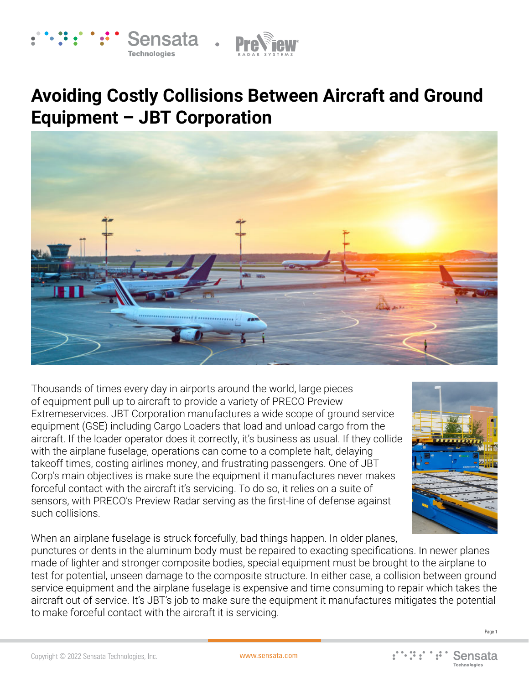



# **Avoiding Costly Collisions Between Aircraft and Ground Equipment – JBT Corporation**



Thousands of times every day in airports around the world, large pieces of equipment pull up to aircraft to provide a variety of PRECO Preview Extremeservices. JBT Corporation manufactures a wide scope of ground service equipment (GSE) including Cargo Loaders that load and unload cargo from the aircraft. If the loader operator does it correctly, it's business as usual. If they collide with the airplane fuselage, operations can come to a complete halt, delaying takeoff times, costing airlines money, and frustrating passengers. One of JBT Corp's main objectives is make sure the equipment it manufactures never makes forceful contact with the aircraft it's servicing. To do so, it relies on a suite of sensors, with PRECO's Preview Radar serving as the first-line of defense against such collisions.



When an airplane fuselage is struck forcefully, bad things happen. In older planes, punctures or dents in the aluminum body must be repaired to exacting specifications. In newer planes made of lighter and stronger composite bodies, special equipment must be brought to the airplane to test for potential, unseen damage to the composite structure. In either case, a collision between ground service equipment and the airplane fuselage is expensive and time consuming to repair which takes the aircraft out of service. It's JBT's job to make sure the equipment it manufactures mitigates the potential to make forceful contact with the aircraft it is servicing.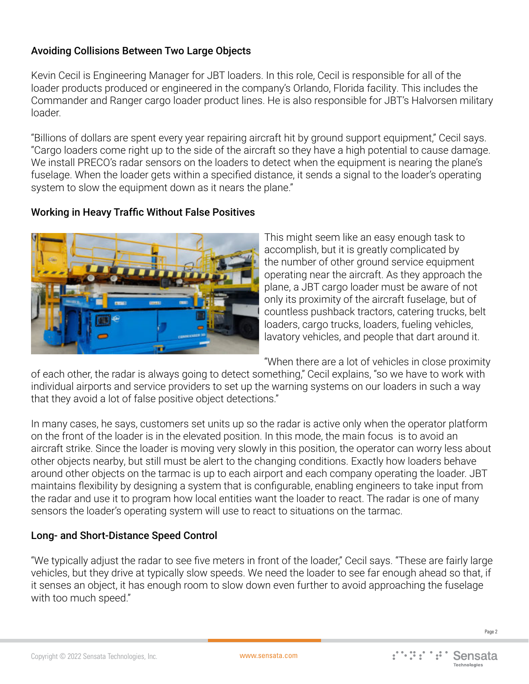# Avoiding Collisions Between Two Large Objects

Kevin Cecil is Engineering Manager for JBT loaders. In this role, Cecil is responsible for all of the loader products produced or engineered in the company's Orlando, Florida facility. This includes the Commander and Ranger cargo loader product lines. He is also responsible for JBT's Halvorsen military loader.

"Billions of dollars are spent every year repairing aircraft hit by ground support equipment," Cecil says. "Cargo loaders come right up to the side of the aircraft so they have a high potential to cause damage. We install PRECO's radar sensors on the loaders to detect when the equipment is nearing the plane's fuselage. When the loader gets within a specified distance, it sends a signal to the loader's operating system to slow the equipment down as it nears the plane."

# Working in Heavy Traffic Without False Positives



This might seem like an easy enough task to accomplish, but it is greatly complicated by the number of other ground service equipment operating near the aircraft. As they approach the plane, a JBT cargo loader must be aware of not only its proximity of the aircraft fuselage, but of countless pushback tractors, catering trucks, belt loaders, cargo trucks, loaders, fueling vehicles, lavatory vehicles, and people that dart around it.

"When there are a lot of vehicles in close proximity

of each other, the radar is always going to detect something," Cecil explains, "so we have to work with individual airports and service providers to set up the warning systems on our loaders in such a way that they avoid a lot of false positive object detections."

In many cases, he says, customers set units up so the radar is active only when the operator platform on the front of the loader is in the elevated position. In this mode, the main focus is to avoid an aircraft strike. Since the loader is moving very slowly in this position, the operator can worry less about other objects nearby, but still must be alert to the changing conditions. Exactly how loaders behave around other objects on the tarmac is up to each airport and each company operating the loader. JBT maintains flexibility by designing a system that is configurable, enabling engineers to take input from the radar and use it to program how local entities want the loader to react. The radar is one of many sensors the loader's operating system will use to react to situations on the tarmac.

### Long- and Short-Distance Speed Control

"We typically adjust the radar to see five meters in front of the loader," Cecil says. "These are fairly large vehicles, but they drive at typically slow speeds. We need the loader to see far enough ahead so that, if it senses an object, it has enough room to slow down even further to avoid approaching the fuselage with too much speed."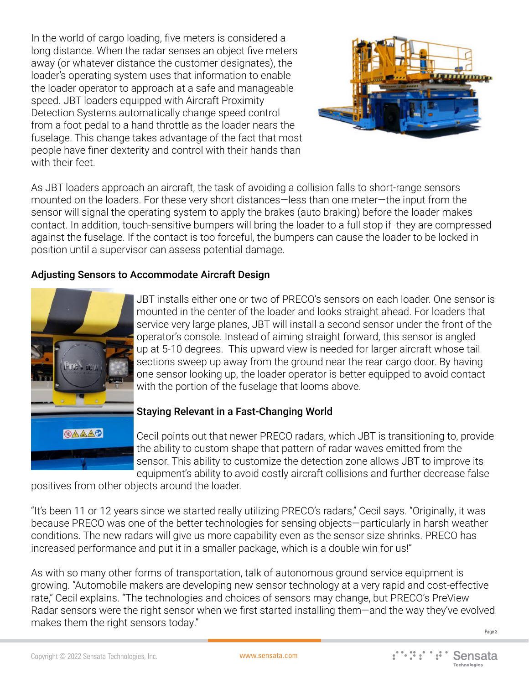In the world of cargo loading, five meters is considered a long distance. When the radar senses an object five meters away (or whatever distance the customer designates), the loader's operating system uses that information to enable the loader operator to approach at a safe and manageable speed. JBT loaders equipped with Aircraft Proximity Detection Systems automatically change speed control from a foot pedal to a hand throttle as the loader nears the fuselage. This change takes advantage of the fact that most people have finer dexterity and control with their hands than with their feet.



As JBT loaders approach an aircraft, the task of avoiding a collision falls to short-range sensors mounted on the loaders. For these very short distances—less than one meter—the input from the sensor will signal the operating system to apply the brakes (auto braking) before the loader makes contact. In addition, touch-sensitive bumpers will bring the loader to a full stop if they are compressed against the fuselage. If the contact is too forceful, the bumpers can cause the loader to be locked in position until a supervisor can assess potential damage.

### Adjusting Sensors to Accommodate Aircraft Design



JBT installs either one or two of PRECO's sensors on each loader. One sensor is mounted in the center of the loader and looks straight ahead. For loaders that service very large planes, JBT will install a second sensor under the front of the operator's console. Instead of aiming straight forward, this sensor is angled up at 5-10 degrees. This upward view is needed for larger aircraft whose tail sections sweep up away from the ground near the rear cargo door. By having one sensor looking up, the loader operator is better equipped to avoid contact with the portion of the fuselage that looms above.

#### Staying Relevant in a Fast-Changing World

Cecil points out that newer PRECO radars, which JBT is transitioning to, provide the ability to custom shape that pattern of radar waves emitted from the sensor. This ability to customize the detection zone allows JBT to improve its equipment's ability to avoid costly aircraft collisions and further decrease false

positives from other objects around the loader.

"It's been 11 or 12 years since we started really utilizing PRECO's radars," Cecil says. "Originally, it was because PRECO was one of the better technologies for sensing objects—particularly in harsh weather conditions. The new radars will give us more capability even as the sensor size shrinks. PRECO has increased performance and put it in a smaller package, which is a double win for us!"

As with so many other forms of transportation, talk of autonomous ground service equipment is growing. "Automobile makers are developing new sensor technology at a very rapid and cost-effective rate," Cecil explains. "The technologies and choices of sensors may change, but PRECO's PreView Radar sensors were the right sensor when we first started installing them—and the way they've evolved makes them the right sensors today."